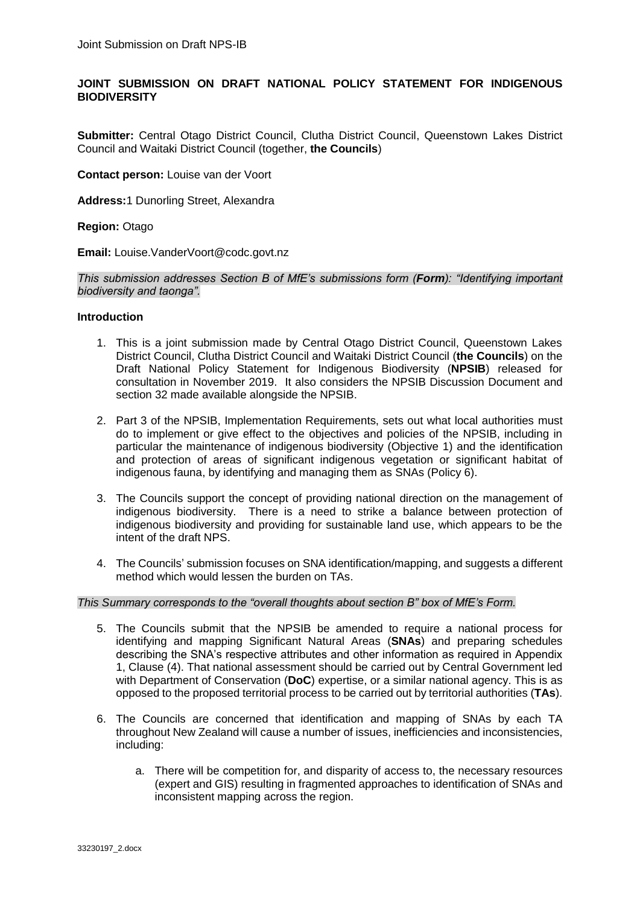# **JOINT SUBMISSION ON DRAFT NATIONAL POLICY STATEMENT FOR INDIGENOUS BIODIVERSITY**

**Submitter:** Central Otago District Council, Clutha District Council, Queenstown Lakes District Council and Waitaki District Council (together, **the Councils**)

**Contact person:** Louise van der Voort

**Address:**1 Dunorling Street, Alexandra

### **Region:** Otago

**Email:** Louise.VanderVoort@codc.govt.nz

*This submission addresses Section B of MfE's submissions form (Form): "Identifying important biodiversity and taonga".*

### **Introduction**

- 1. This is a joint submission made by Central Otago District Council, Queenstown Lakes District Council, Clutha District Council and Waitaki District Council (**the Councils**) on the Draft National Policy Statement for Indigenous Biodiversity (**NPSIB**) released for consultation in November 2019. It also considers the NPSIB Discussion Document and section 32 made available alongside the NPSIB.
- 2. Part 3 of the NPSIB, Implementation Requirements, sets out what local authorities must do to implement or give effect to the objectives and policies of the NPSIB, including in particular the maintenance of indigenous biodiversity (Objective 1) and the identification and protection of areas of significant indigenous vegetation or significant habitat of indigenous fauna, by identifying and managing them as SNAs (Policy 6).
- 3. The Councils support the concept of providing national direction on the management of indigenous biodiversity. There is a need to strike a balance between protection of indigenous biodiversity and providing for sustainable land use, which appears to be the intent of the draft NPS.
- 4. The Councils' submission focuses on SNA identification/mapping, and suggests a different method which would lessen the burden on TAs.

#### *This Summary corresponds to the "overall thoughts about section B" box of MfE's Form.*

- 5. The Councils submit that the NPSIB be amended to require a national process for identifying and mapping Significant Natural Areas (**SNAs**) and preparing schedules describing the SNA's respective attributes and other information as required in Appendix 1, Clause (4). That national assessment should be carried out by Central Government led with Department of Conservation (**DoC**) expertise, or a similar national agency. This is as opposed to the proposed territorial process to be carried out by territorial authorities (**TAs**).
- 6. The Councils are concerned that identification and mapping of SNAs by each TA throughout New Zealand will cause a number of issues, inefficiencies and inconsistencies, including:
	- a. There will be competition for, and disparity of access to, the necessary resources (expert and GIS) resulting in fragmented approaches to identification of SNAs and inconsistent mapping across the region.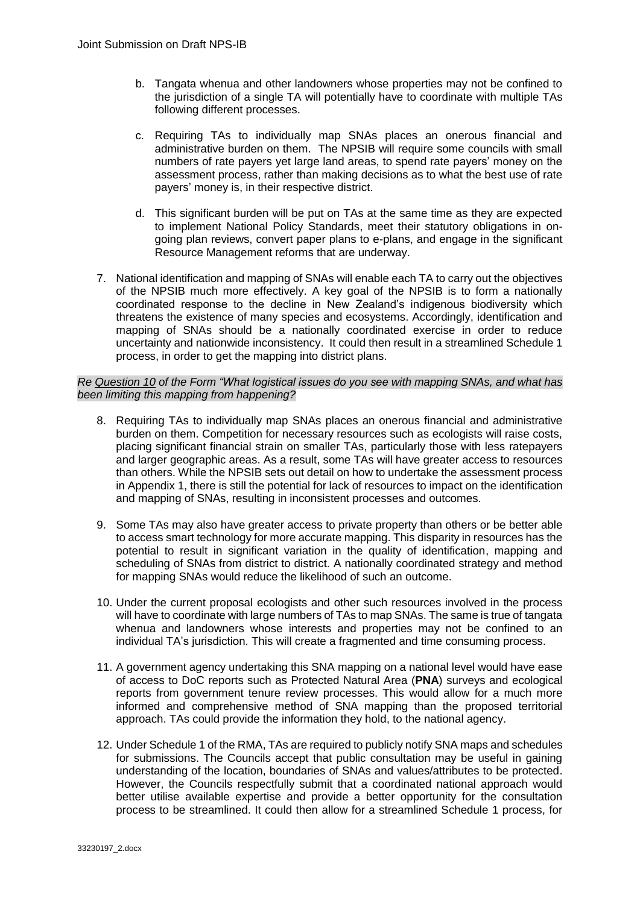- b. Tangata whenua and other landowners whose properties may not be confined to the jurisdiction of a single TA will potentially have to coordinate with multiple TAs following different processes.
- c. Requiring TAs to individually map SNAs places an onerous financial and administrative burden on them. The NPSIB will require some councils with small numbers of rate payers yet large land areas, to spend rate payers' money on the assessment process, rather than making decisions as to what the best use of rate payers' money is, in their respective district.
- d. This significant burden will be put on TAs at the same time as they are expected to implement National Policy Standards, meet their statutory obligations in ongoing plan reviews, convert paper plans to e-plans, and engage in the significant Resource Management reforms that are underway.
- 7. National identification and mapping of SNAs will enable each TA to carry out the objectives of the NPSIB much more effectively. A key goal of the NPSIB is to form a nationally coordinated response to the decline in New Zealand's indigenous biodiversity which threatens the existence of many species and ecosystems. Accordingly, identification and mapping of SNAs should be a nationally coordinated exercise in order to reduce uncertainty and nationwide inconsistency. It could then result in a streamlined Schedule 1 process, in order to get the mapping into district plans.

## *Re Question 10 of the Form "What logistical issues do you see with mapping SNAs, and what has been limiting this mapping from happening?*

- 8. Requiring TAs to individually map SNAs places an onerous financial and administrative burden on them. Competition for necessary resources such as ecologists will raise costs, placing significant financial strain on smaller TAs, particularly those with less ratepayers and larger geographic areas. As a result, some TAs will have greater access to resources than others. While the NPSIB sets out detail on how to undertake the assessment process in Appendix 1, there is still the potential for lack of resources to impact on the identification and mapping of SNAs, resulting in inconsistent processes and outcomes.
- 9. Some TAs may also have greater access to private property than others or be better able to access smart technology for more accurate mapping. This disparity in resources has the potential to result in significant variation in the quality of identification, mapping and scheduling of SNAs from district to district. A nationally coordinated strategy and method for mapping SNAs would reduce the likelihood of such an outcome.
- 10. Under the current proposal ecologists and other such resources involved in the process will have to coordinate with large numbers of TAs to map SNAs. The same is true of tangata whenua and landowners whose interests and properties may not be confined to an individual TA's jurisdiction. This will create a fragmented and time consuming process.
- 11. A government agency undertaking this SNA mapping on a national level would have ease of access to DoC reports such as Protected Natural Area (**PNA**) surveys and ecological reports from government tenure review processes. This would allow for a much more informed and comprehensive method of SNA mapping than the proposed territorial approach. TAs could provide the information they hold, to the national agency.
- 12. Under Schedule 1 of the RMA, TAs are required to publicly notify SNA maps and schedules for submissions. The Councils accept that public consultation may be useful in gaining understanding of the location, boundaries of SNAs and values/attributes to be protected. However, the Councils respectfully submit that a coordinated national approach would better utilise available expertise and provide a better opportunity for the consultation process to be streamlined. It could then allow for a streamlined Schedule 1 process, for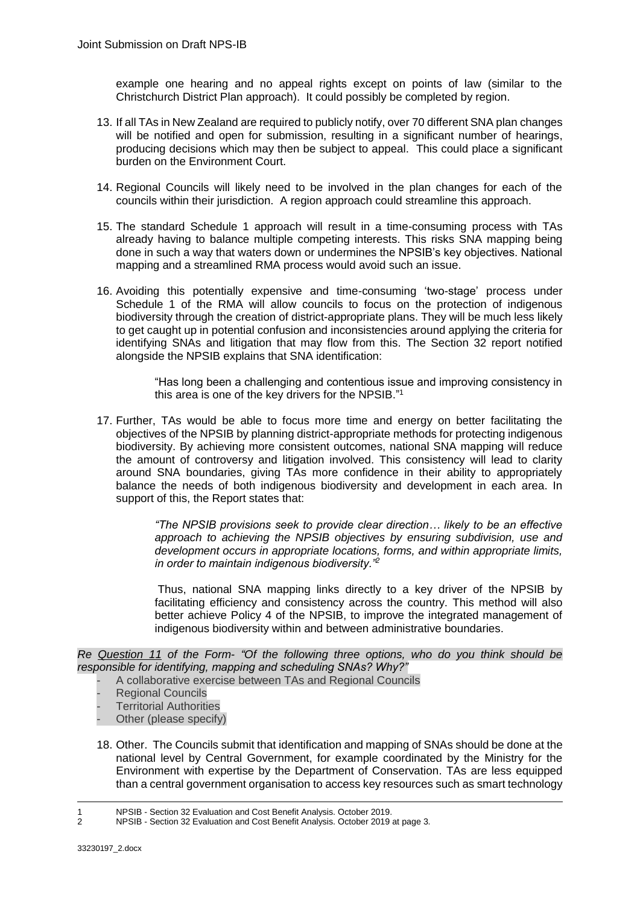example one hearing and no appeal rights except on points of law (similar to the Christchurch District Plan approach). It could possibly be completed by region.

- 13. If all TAs in New Zealand are required to publicly notify, over 70 different SNA plan changes will be notified and open for submission, resulting in a significant number of hearings, producing decisions which may then be subject to appeal. This could place a significant burden on the Environment Court.
- 14. Regional Councils will likely need to be involved in the plan changes for each of the councils within their jurisdiction. A region approach could streamline this approach.
- 15. The standard Schedule 1 approach will result in a time-consuming process with TAs already having to balance multiple competing interests. This risks SNA mapping being done in such a way that waters down or undermines the NPSIB's key objectives. National mapping and a streamlined RMA process would avoid such an issue.
- 16. Avoiding this potentially expensive and time-consuming 'two-stage' process under Schedule 1 of the RMA will allow councils to focus on the protection of indigenous biodiversity through the creation of district-appropriate plans. They will be much less likely to get caught up in potential confusion and inconsistencies around applying the criteria for identifying SNAs and litigation that may flow from this. The Section 32 report notified alongside the NPSIB explains that SNA identification:

"Has long been a challenging and contentious issue and improving consistency in this area is one of the key drivers for the NPSIB."<sup>1</sup>

17. Further, TAs would be able to focus more time and energy on better facilitating the objectives of the NPSIB by planning district-appropriate methods for protecting indigenous biodiversity. By achieving more consistent outcomes, national SNA mapping will reduce the amount of controversy and litigation involved. This consistency will lead to clarity around SNA boundaries, giving TAs more confidence in their ability to appropriately balance the needs of both indigenous biodiversity and development in each area. In support of this, the Report states that:

> *"The NPSIB provisions seek to provide clear direction… likely to be an effective approach to achieving the NPSIB objectives by ensuring subdivision, use and development occurs in appropriate locations, forms, and within appropriate limits, in order to maintain indigenous biodiversity."<sup>2</sup>*

> Thus, national SNA mapping links directly to a key driver of the NPSIB by facilitating efficiency and consistency across the country. This method will also better achieve Policy 4 of the NPSIB, to improve the integrated management of indigenous biodiversity within and between administrative boundaries.

*Re Question 11 of the Form- "Of the following three options, who do you think should be responsible for identifying, mapping and scheduling SNAs? Why?"*

- A collaborative exercise between TAs and Regional Councils
- Regional Councils
- **Territorial Authorities**
- Other (please specify)
- 18. Other. The Councils submit that identification and mapping of SNAs should be done at the national level by Central Government, for example coordinated by the Ministry for the Environment with expertise by the Department of Conservation. TAs are less equipped than a central government organisation to access key resources such as smart technology

<sup>1</sup> 1 NPSIB - Section 32 Evaluation and Cost Benefit Analysis. October 2019.

<sup>2</sup> NPSIB - Section 32 Evaluation and Cost Benefit Analysis. October 2019 at page 3.